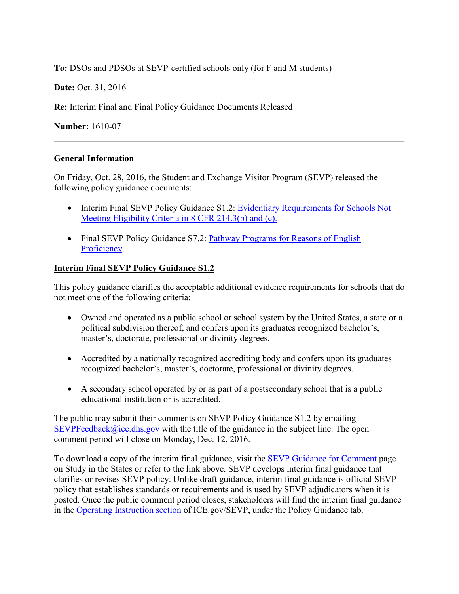**To:** DSOs and PDSOs at SEVP-certified schools only (for F and M students)

**Date:** Oct. 31, 2016

**Re:** Interim Final and Final Policy Guidance Documents Released

**Number:** 1610-07

### **General Information**

On Friday, Oct. 28, 2016, the Student and Exchange Visitor Program (SEVP) released the following policy guidance documents:

- Interim Final SEVP Policy Guidance S1.2: Evidentiary Requirements for Schools Not [Meeting Eligibility Criteria in 8 CFR 214.3\(b\) and \(c\).](https://studyinthestates.dhs.gov/assets/pg_12_evidentiary_requirements_schools_not_meeting_eligibility_criteria.pdf)
- Final SEVP Policy Guidance S7.2: Pathway Programs for Reasons of English [Proficiency.](https://www.ice.gov/doclib/sevis/pdf/pathwayS7.2englishProficiencyReasons.pdf)

## **Interim Final SEVP Policy Guidance S1.2**

This policy guidance clarifies the acceptable additional evidence requirements for schools that do not meet one of the following criteria:

- Owned and operated as a public school or school system by the United States, a state or a political subdivision thereof, and confers upon its graduates recognized bachelor's, master's, doctorate, professional or divinity degrees.
- Accredited by a nationally recognized accrediting body and confers upon its graduates recognized bachelor's, master's, doctorate, professional or divinity degrees.
- A secondary school operated by or as part of a postsecondary school that is a public educational institution or is accredited.

The public may submit their comments on SEVP Policy Guidance S1.2 by emailing  $SEVPFeedback@ice.dhs.gov$  with the title of the guidance in the subject line. The open comment period will close on Monday, Dec. 12, 2016.

To download a copy of the interim final guidance, visit the [SEVP Guidance for Comment p](https://studyinthestates.dhs.gov/sevp-guidance-for-comment)age on Study in the States or refer to the link above. SEVP develops interim final guidance that clarifies or revises SEVP policy. Unlike draft guidance, interim final guidance is official SEVP policy that establishes standards or requirements and is used by SEVP adjudicators when it is posted. Once the public comment period closes, stakeholders will find the interim final guidance in the [Operating Instruction section](https://www.ice.gov/sevis/operating-instructions) of ICE.gov/SEVP, under the Policy Guidance tab.